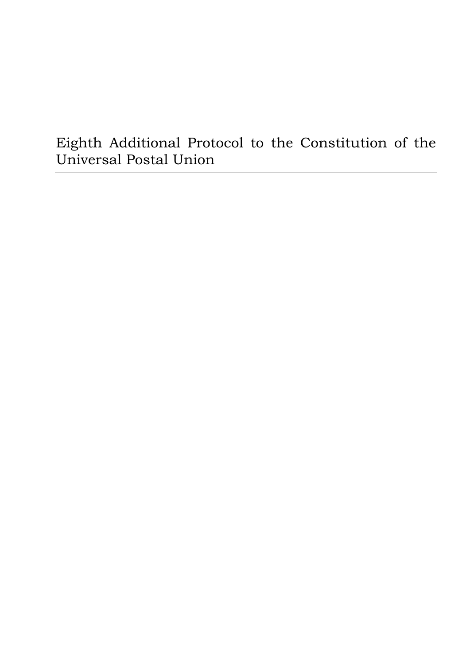# Eighth Additional Protocol to the Constitution of the Universal Postal Union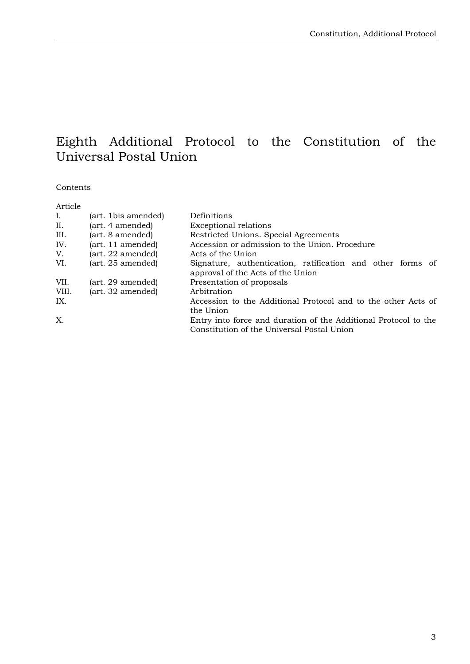# Eighth Additional Protocol to the Constitution of the Universal Postal Union

#### Contents

| Article |                     |                                                                                                 |
|---------|---------------------|-------------------------------------------------------------------------------------------------|
| Ι.      | (art. 1bis amended) | Definitions                                                                                     |
| II.     | (art. 4 amended)    | <b>Exceptional relations</b>                                                                    |
| III.    | (art. 8 amended)    | Restricted Unions. Special Agreements                                                           |
| IV.     | (art. 11 amended)   | Accession or admission to the Union. Procedure                                                  |
| V.      | (art. 22 amended)   | Acts of the Union                                                                               |
| VI.     | (art. 25 amended)   | Signature, authentication, ratification and other forms of<br>approval of the Acts of the Union |
| VII.    | (art. 29 amended)   | Presentation of proposals                                                                       |
| VIII.   | (art. 32 amended)   | Arbitration                                                                                     |
| IX.     |                     | Accession to the Additional Protocol and to the other Acts of<br>the Union                      |
| X.      |                     | Entry into force and duration of the Additional Protocol to the                                 |
|         |                     | Constitution of the Universal Postal Union                                                      |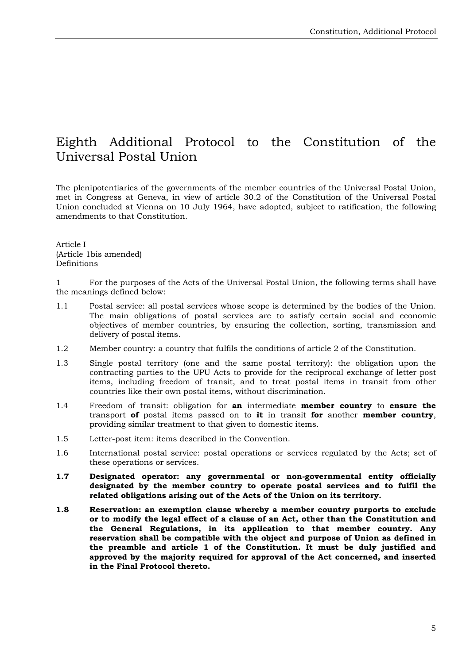# Eighth Additional Protocol to the Constitution of the Universal Postal Union

The plenipotentiaries of the governments of the member countries of the Universal Postal Union, met in Congress at Geneva, in view of article 30.2 of the Constitution of the Universal Postal Union concluded at Vienna on 10 July 1964, have adopted, subject to ratification, the following amendments to that Constitution.

Article I (Article 1bis amended) Definitions

1 For the purposes of the Acts of the Universal Postal Union, the following terms shall have the meanings defined below:

- 1.1 Postal service: all postal services whose scope is determined by the bodies of the Union. The main obligations of postal services are to satisfy certain social and economic objectives of member countries, by ensuring the collection, sorting, transmission and delivery of postal items.
- 1.2 Member country: a country that fulfils the conditions of article 2 of the Constitution.
- 1.3 Single postal territory (one and the same postal territory): the obligation upon the contracting parties to the UPU Acts to provide for the reciprocal exchange of letter-post items, including freedom of transit, and to treat postal items in transit from other countries like their own postal items, without discrimination.
- 1.4 Freedom of transit: obligation for **an** intermediate **member country** to **ensure the** transport **of** postal items passed on to **it** in transit **for** another **member country**, providing similar treatment to that given to domestic items.
- 1.5 Letter-post item: items described in the Convention.
- 1.6 International postal service: postal operations or services regulated by the Acts; set of these operations or services.
- **1.7 Designated operator: any governmental or non-governmental entity officially designated by the member country to operate postal services and to fulfil the related obligations arising out of the Acts of the Union on its territory.**
- **1.8 Reservation: an exemption clause whereby a member country purports to exclude or to modify the legal effect of a clause of an Act, other than the Constitution and the General Regulations, in its application to that member country. Any reservation shall be compatible with the object and purpose of Union as defined in the preamble and article 1 of the Constitution. It must be duly justified and approved by the majority required for approval of the Act concerned, and inserted in the Final Protocol thereto.**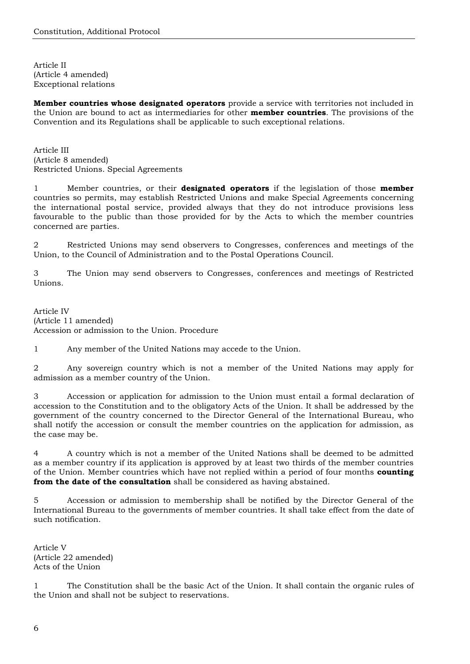Article II (Article 4 amended) Exceptional relations

**Member countries whose designated operators** provide a service with territories not included in the Union are bound to act as intermediaries for other **member countries**. The provisions of the Convention and its Regulations shall be applicable to such exceptional relations.

Article III (Article 8 amended) Restricted Unions. Special Agreements

1 Member countries, or their **designated operators** if the legislation of those **member** countries so permits, may establish Restricted Unions and make Special Agreements concerning the international postal service, provided always that they do not introduce provisions less favourable to the public than those provided for by the Acts to which the member countries concerned are parties.

2 Restricted Unions may send observers to Congresses, conferences and meetings of the Union, to the Council of Administration and to the Postal Operations Council.

3 The Union may send observers to Congresses, conferences and meetings of Restricted Unions.

Article IV (Article 11 amended) Accession or admission to the Union. Procedure

1 Any member of the United Nations may accede to the Union.

2 Any sovereign country which is not a member of the United Nations may apply for admission as a member country of the Union.

3 Accession or application for admission to the Union must entail a formal declaration of accession to the Constitution and to the obligatory Acts of the Union. It shall be addressed by the government of the country concerned to the Director General of the International Bureau, who shall notify the accession or consult the member countries on the application for admission, as the case may be.

4 A country which is not a member of the United Nations shall be deemed to be admitted as a member country if its application is approved by at least two thirds of the member countries of the Union. Member countries which have not replied within a period of four months **counting from the date of the consultation** shall be considered as having abstained.

5 Accession or admission to membership shall be notified by the Director General of the International Bureau to the governments of member countries. It shall take effect from the date of such notification.

Article V (Article 22 amended) Acts of the Union

1 The Constitution shall be the basic Act of the Union. It shall contain the organic rules of the Union and shall not be subject to reservations.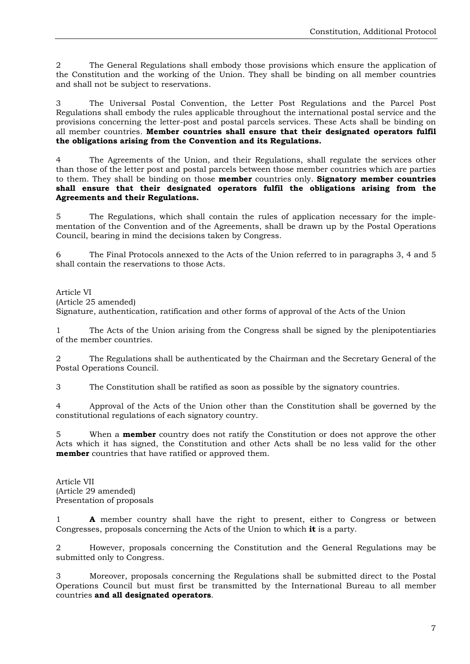2 The General Regulations shall embody those provisions which ensure the application of the Constitution and the working of the Union. They shall be binding on all member countries and shall not be subject to reservations.

3 The Universal Postal Convention, the Letter Post Regulations and the Parcel Post Regulations shall embody the rules applicable throughout the international postal service and the provisions concerning the letter-post and postal parcels services. These Acts shall be binding on all member countries. **Member countries shall ensure that their designated operators fulfil the obligations arising from the Convention and its Regulations.**

4 The Agreements of the Union, and their Regulations, shall regulate the services other than those of the letter post and postal parcels between those member countries which are parties to them. They shall be binding on those **member** countries only. **Signatory member countries shall ensure that their designated operators fulfil the obligations arising from the Agreements and their Regulations.**

5 The Regulations, which shall contain the rules of application necessary for the implementation of the Convention and of the Agreements, shall be drawn up by the Postal Operations Council, bearing in mind the decisions taken by Congress.

6 The Final Protocols annexed to the Acts of the Union referred to in paragraphs 3, 4 and 5 shall contain the reservations to those Acts.

Article VI

(Article 25 amended)

Signature, authentication, ratification and other forms of approval of the Acts of the Union

1 The Acts of the Union arising from the Congress shall be signed by the plenipotentiaries of the member countries.

2 The Regulations shall be authenticated by the Chairman and the Secretary General of the Postal Operations Council.

3 The Constitution shall be ratified as soon as possible by the signatory countries.

4 Approval of the Acts of the Union other than the Constitution shall be governed by the constitutional regulations of each signatory country.

5 When a **member** country does not ratify the Constitution or does not approve the other Acts which it has signed, the Constitution and other Acts shall be no less valid for the other **member** countries that have ratified or approved them.

Article VII (Article 29 amended) Presentation of proposals

1 **A** member country shall have the right to present, either to Congress or between Congresses, proposals concerning the Acts of the Union to which **it** is a party.

2 However, proposals concerning the Constitution and the General Regulations may be submitted only to Congress.

3 Moreover, proposals concerning the Regulations shall be submitted direct to the Postal Operations Council but must first be transmitted by the International Bureau to all member countries **and all designated operators**.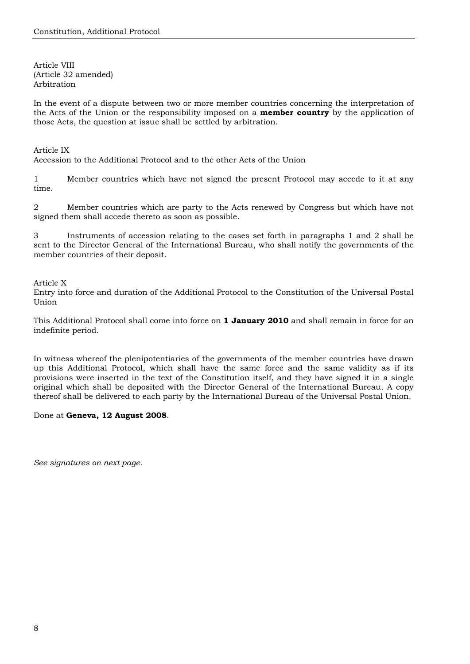Article VIII (Article 32 amended) Arbitration

In the event of a dispute between two or more member countries concerning the interpretation of the Acts of the Union or the responsibility imposed on a **member country** by the application of those Acts, the question at issue shall be settled by arbitration.

Article IX

Accession to the Additional Protocol and to the other Acts of the Union

1 Member countries which have not signed the present Protocol may accede to it at any time.

2 Member countries which are party to the Acts renewed by Congress but which have not signed them shall accede thereto as soon as possible.

3 Instruments of accession relating to the cases set forth in paragraphs 1 and 2 shall be sent to the Director General of the International Bureau, who shall notify the governments of the member countries of their deposit.

Article X

Entry into force and duration of the Additional Protocol to the Constitution of the Universal Postal Union

This Additional Protocol shall come into force on **1 January 2010** and shall remain in force for an indefinite period.

In witness whereof the plenipotentiaries of the governments of the member countries have drawn up this Additional Protocol, which shall have the same force and the same validity as if its provisions were inserted in the text of the Constitution itself, and they have signed it in a single original which shall be deposited with the Director General of the International Bureau. A copy thereof shall be delivered to each party by the International Bureau of the Universal Postal Union.

#### Done at **Geneva, 12 August 2008**.

*See signatures on next page.*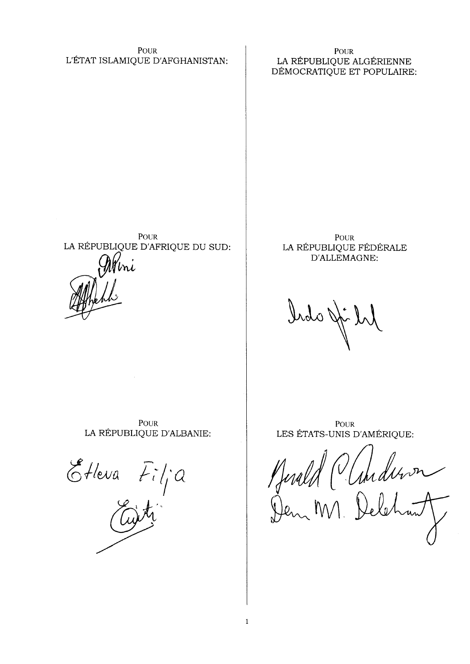**POUR** L'ÉTAT ISLAMIQUE D'AFGHANISTAN:

**POUR** LA RÉPUBLIQUE ALGÉRIENNE DÉMOCRATIQUE ET POPULAIRE:

**POUR** LA RÉPUBLIQUE D'AFRIQUE DU SUD:

**POUR** LA RÉPUBLIQUE FÉDÉRALE D'ALLEMAGNE:

Irdo Ji

POUR LA RÉPUBLIQUE D'ALBANIE:

Etleva  $Fi/a$ 

**POUR** LES ÉTATS-UNIS D'AMÉRIQUE:

Jereld (Clanderven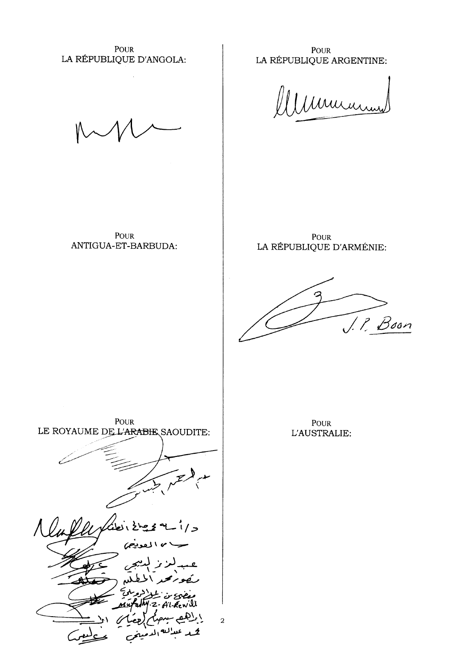POUR LA RÉPUBLIQUE D'ANGOLA:

**POUR** LA RÉPUBLIQUE ARGENTINE:

Murin

POUR ANTIGUA-ET-BARBUDA:

**POUR** LA RÉPUBLIQUE D'ARMÉNIE:

J. P. Boon

POUR LE ROYAUME DE L'ARABIE SAOUDITE:  $\prime$   $\geq$ AL KEWill  $\widehat{\mathfrak{h}^{\gamma}}$  /  $\overline{a}$ 2ر عس<sup>ال</sup>سه <sub>ا</sub>ل

POUR L'AUSTRALIE: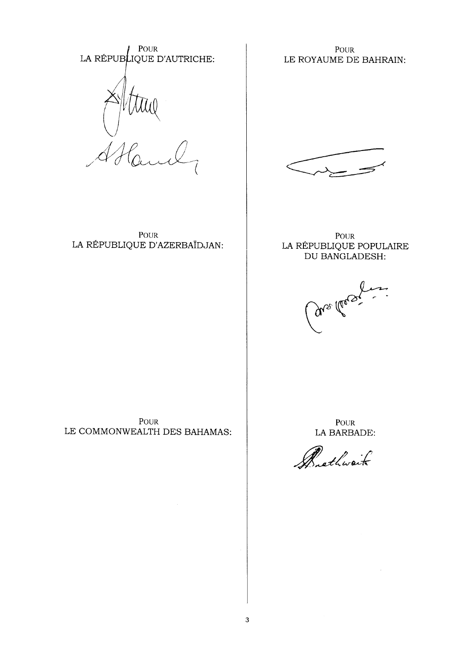POUR<br>LA RÉPUBLIQUE D'AUTRICHE:

**POUR** LE ROYAUME DE BAHRAIN:



**POUR** LA RÉPUBLIQUE D'AZERBAÏDJAN:

**POUR** LA RÉPUBLIQUE POPULAIRE DU BANGLADESH:

are there is

**POUR** LE COMMONWEALTH DES BAHAMAS:

POUR LA BARBADE:

Brathwait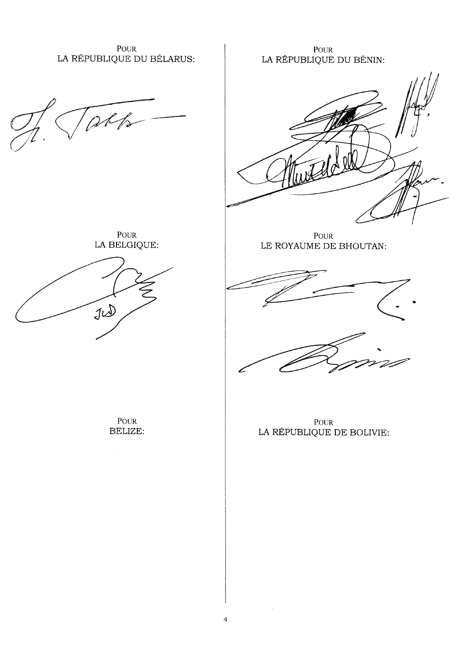POUR LA RÉPUBLIQUE DU BÉLARUS:

 $1/6$ 

 $\mbox{POUR}$ LA BELGIQUE:



POUR BELIZE:

POUR LA RÉPUBLIQUE DU BÉNIN:



POUR LE ROYAUME DE BHOUTAN:



POUR LA RÉPUBLIQUE DE BOLIVIE:

 $\overline{4}$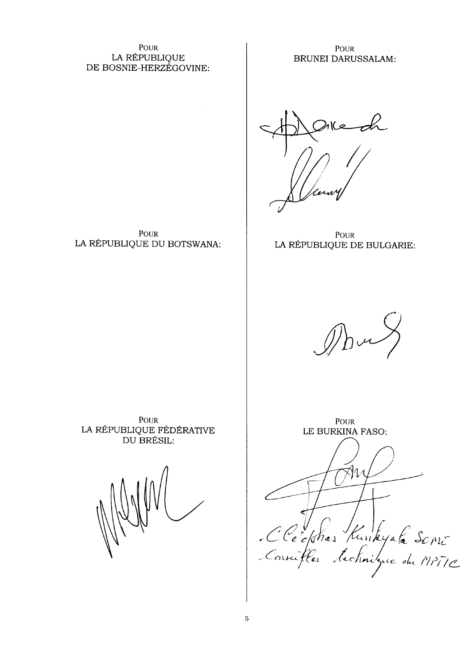POUR LA RÉPUBLIQUE DE BOSNIE-HERZÉGOVINE:

POUR

LA RÉPUBLIQUE DU BOTSWANA:

**POUR BRUNEI DARUSSALAM:** 

**POUR** LA RÉPUBLIQUE DE BULGARIE:

POUR LA RÉPUBLIQUE FÉDÉRATIVE DU BRÉSIL:

**POUR** LE BURKINA FASO: Cléckhas Kunkyale Some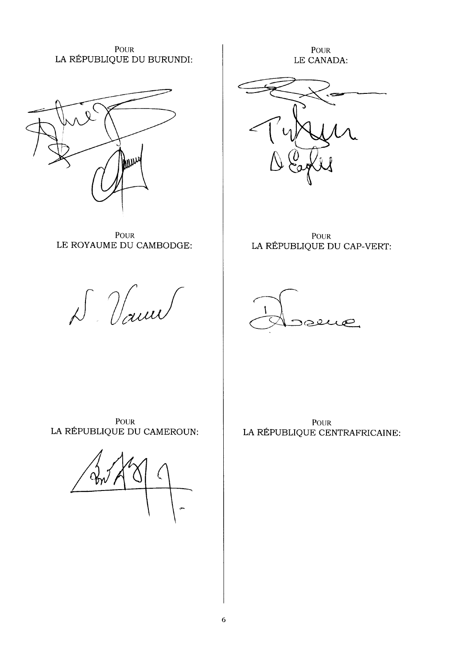**POUR** LA RÉPUBLIQUE DU BURUNDI:

**POUR** LE CANADA:



POUR LA RÉPUBLIQUE DU CAP-VERT:



POUR LE ROYAUME DU CAMBODGE:

**WW** 

D Vann

POUR LA RÉPUBLIQUE DU CAMEROUN:

**POUR** LA RÉPUBLIQUE CENTRAFRICAINE: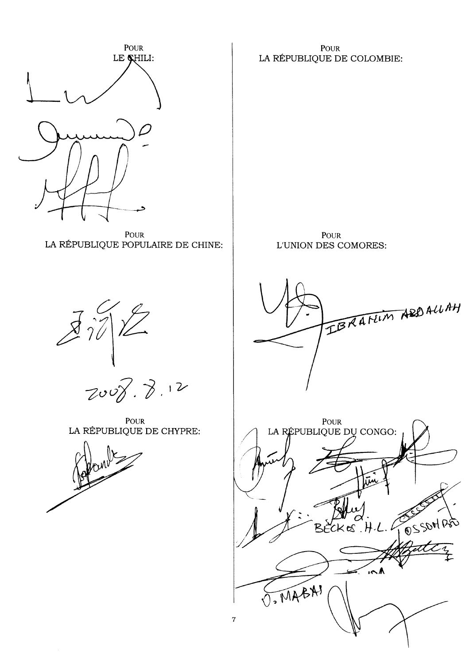

POUR LA RÉPUBLIQUE POPULAIRE DE CHINE:

**POUR** LA RÉPUBLIQUE DE COLOMBIE:

**POUR** L'UNION DES COMORES:



POUR LA RÉPUBLIQUE DE CHYPRE:





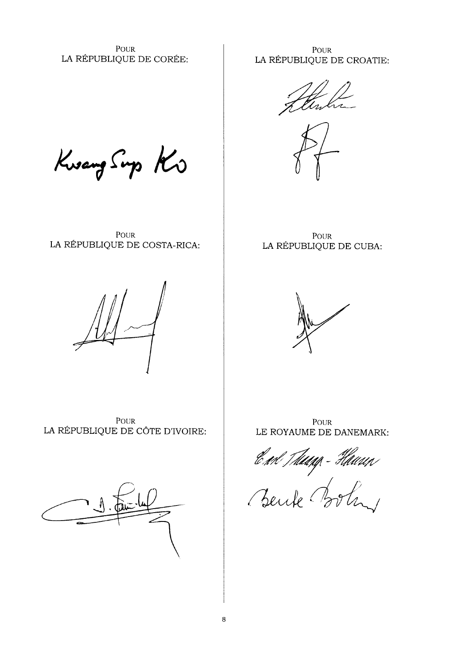POUR LA RÉPUBLIQUE DE CORÉE:

POUR LA RÉPUBLIQUE DE CROATIE:

ttin k

Kwang Sup Ko

POUR LA RÉPUBLIQUE DE COSTA-RICA:



POUR LA RÉPUBLIQUE DE CÔTE D'IVOIRE:



POUR LA RÉPUBLIQUE DE CUBA:



**POUR** LE ROYAUME DE DANEMARK:

End Themp-Haven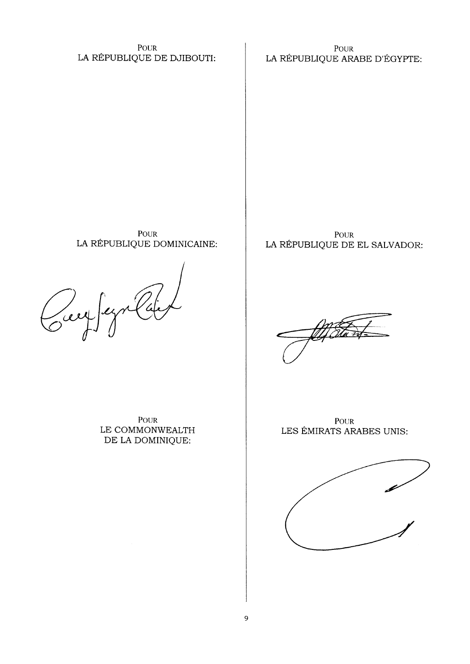POUR LA RÉPUBLIQUE DE DJIBOUTI:

**POUR** LA RÉPUBLIQUE ARABE D'ÉGYPTE:

POUR LA RÉPUBLIQUE DOMINICAINE:

 $\sigma$ 

POUR LE COMMONWEALTH DE LA DOMINIQUE:

POUR LA RÉPUBLIQUE DE EL SALVADOR:

**POUR** LES ÉMIRATS ARABES UNIS:

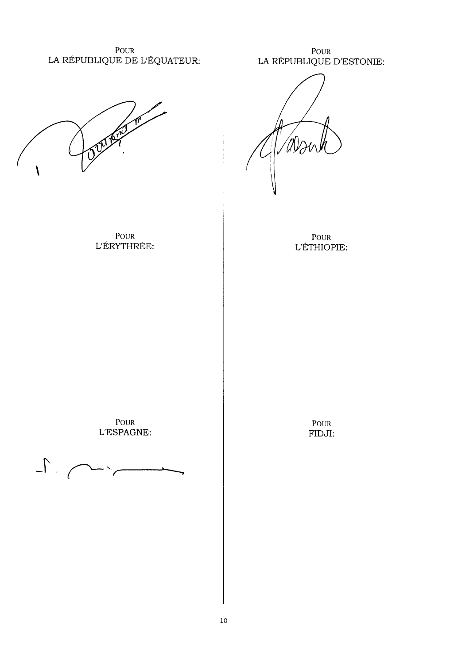POUR LA RÉPUBLIQUE DE L'ÉQUATEUR:

POUR L'ÉRYTHRÉE: POUR<br>LA RÉPUBLIQUE D'ESTONIE:

POUR L'ÉTHIOPIE:

POUR L'ESPAGNE:

 $\Gamma$ .  $-\ddotsc$ 

POUR FIDJI: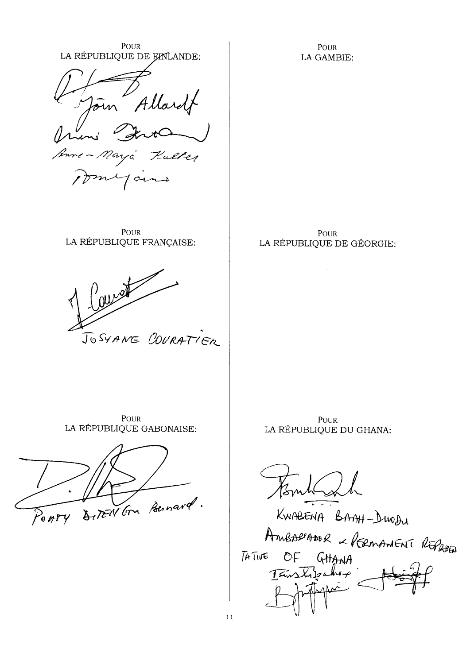POUR LA RÉPUBLIQUE DE EMLANDE: in Allardt Senne Maya Kalter myours

**POUR** LA RÉPUBLIQUE FRANÇAISE:



**POUR** LA RÉPUBLIQUE DE GÉORGIE:

**POUR** 

LA GAMBIE:

**POUR** LA RÉPUBLIQUE GABONAISE:



POUR LA RÉPUBLIQUE DU GHANA:

KWABENA BANH-DWODU AmballADOR - REEMANENT REPAIR OF GHANA  $\overline{A}$  TIVE TEWSLIPANEP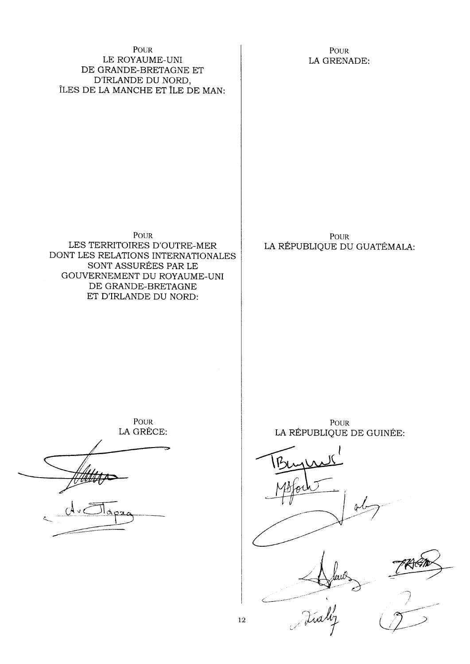### POUR LE ROYAUME-UNI DE GRANDE-BRETAGNE ET D'IRLANDE DU NORD, ÎLES DE LA MANCHE ET ÎLE DE MAN:

POUR LA GRENADE:

POUR

LES TERRITOIRES D'OUTRE-MER DONT LES RELATIONS INTERNATIONALES SONT ASSURÉES PAR LE GOUVERNEMENT DU ROYAUME-UNI DE GRANDE-BRETAGNE ET D'IRLANDE DU NORD:

**POUR** LA RÉPUBLIQUE DU GUATÉMALA:

**POUR** LA GRÈCE:

POUR LA RÉPUBLIQUE DE GUINÉE:

 $\frac{1}{2}$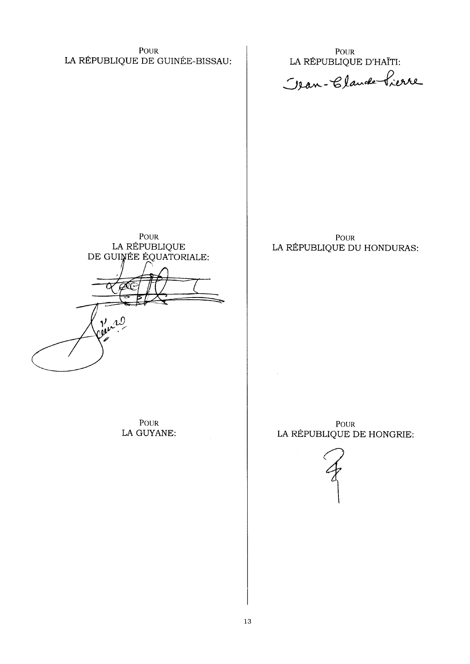POUR LA RÉPUBLIQUE DE GUINÉE-BISSAU:

POUR LA RÉPUBLIQUE D'HAÏTI:

Jean-Claude Pierre

POUR LA RÉPUBLIQUE<br>DE GUINÉE ÉQUATORIALE: Oller 20

**POUR** LA GUYANE:

**POUR** LA RÉPUBLIQUE DU HONDURAS:

**POUR** LA RÉPUBLIQUE DE HONGRIE:

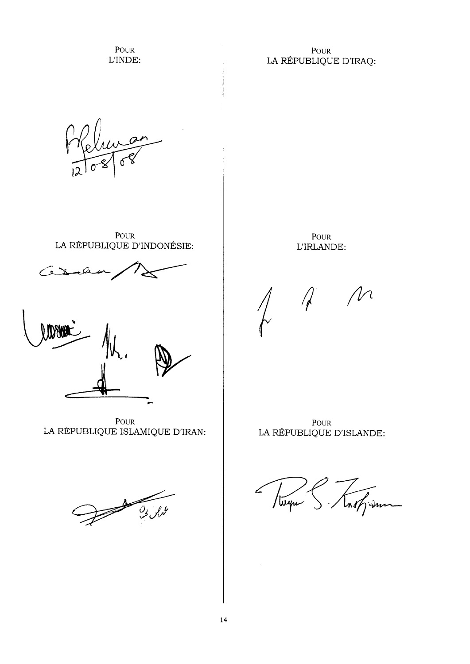POUR L'INDE:

## **POUR** LA RÉPUBLIQUE D'IRAQ:

POUR LA RÉPUBLIQUE D'INDONÉSIE:

POUR L'IRLANDE:

 $\bigwedge$ 



POUR LA RÉPUBLIQUE ISLAMIQUE D'IRAN:



POUR LA RÉPUBLIQUE D'ISLANDE:

not sum / weper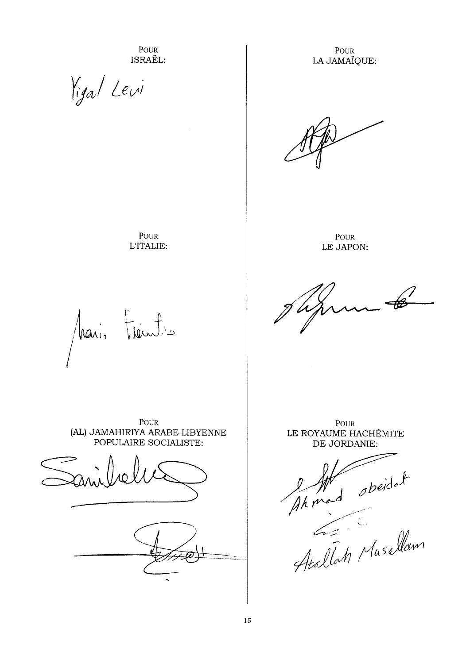POUR ISRAËL:

POUR

L'ITALIE:

Vigal Levi

**POUR** LA JAMAÏQUE:

**POUR** LE JAPON:

hais Frantis

**POUR** (AL) JAMAHIRIYA ARABE LIBYENNE POPULAIRE SOCIALISTE:



**POUR** LE ROYAUME HACHÉMITE DE JORDANIE:

Ahmad obeidat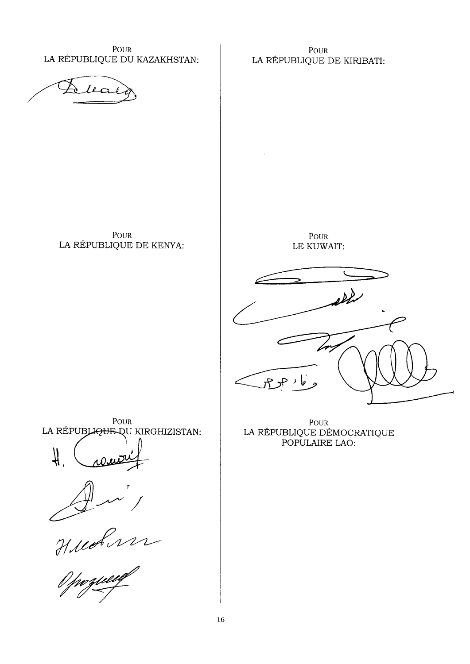POUR LA RÉPUBLIQUE DU KAZAKHSTAN:

POUR LA RÉPUBLIQUE DE KIRIBATI:

 $l_{\mathcal{L}}$ 

POUR LA RÉPUBLIQUE DE KENYA:

**POUR** LE KUWAIT:

یا د حد ح

POUR LA RÉPUBLIQUE QU KIRGHIZISTAN:





POUR LA RÉPUBLIQUE DÉMOCRATIQUE POPULAIRE LAO: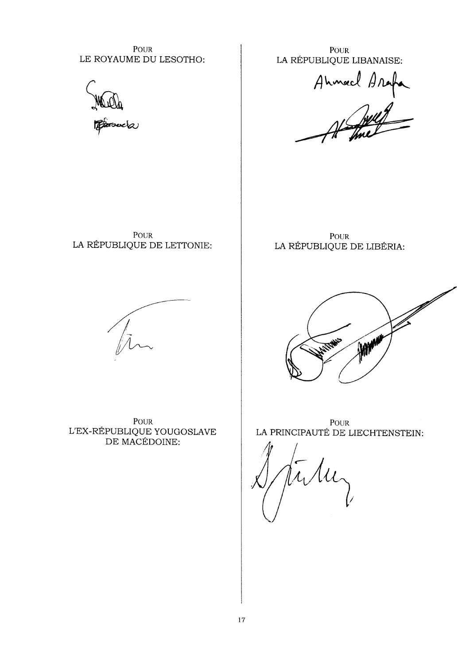POUR LE ROYAUME DU LESOTHO:



**POUR** LA RÉPUBLIQUE LIBANAISE:

Ahmed Arafa

POUR LA RÉPUBLIQUE DE LETTONIE:

**POUR** LA RÉPUBLIQUE DE LIBÉRIA:



POUR  ${\rm L'EX}$  -RÉPUBLIQUE YOUGOSLAVE DE MACÉDOINE:



POUR LA PRINCIPAUTÉ DE LIECHTENSTEIN:

 $\mu$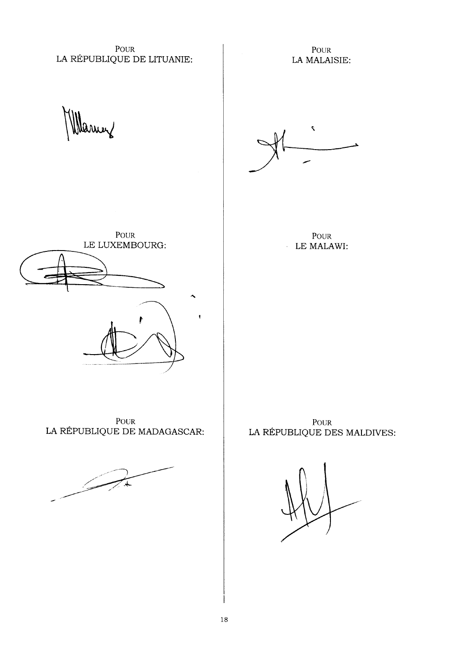POUR LA RÉPUBLIQUE DE LITUANIE:

POUR LA MALAISIE:

arrey



**POUR** LE MALAWI:



POUR LA RÉPUBLIQUE DE MADAGASCAR:



POUR LA RÉPUBLIQUE DES MALDIVES: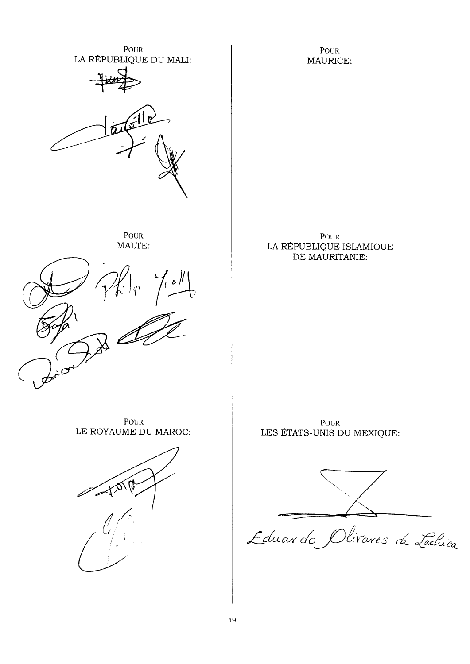POUR POUR LA RÉPUBLIQUE DU MALI: MAURICE: POUR POUR LA RÉPUBLIQUE ISLAMIQUE MALTE: DE MAURITANIE:  $7.2$ POUR **POUR** LE ROYAUME DU MAROC: LES ÉTATS-UNIS DU MEXIQUE: 10121 Eduardo Olivares de Lachica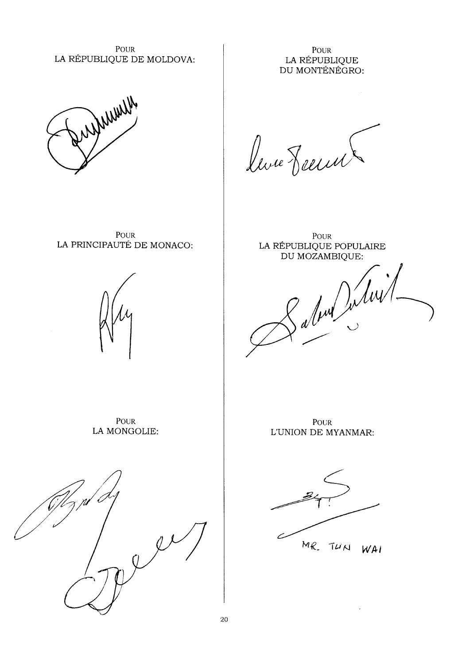POUR LA RÉPUBLIQUE DE MOLDOVA:

**POUR** LA RÉPUBLIQUE DU MONTÉNÉGRO:



live Reevel

POUR LA PRINCIPAUTÉ DE MONACO:



POUR LA RÉPUBLIQUE POPULAIRE DU MOZAMBIQUE:

Labour Julien

**POUR** LA MONGOLIE:



**POUR** L'UNION DE MYANMAR:

MR. TUN WAI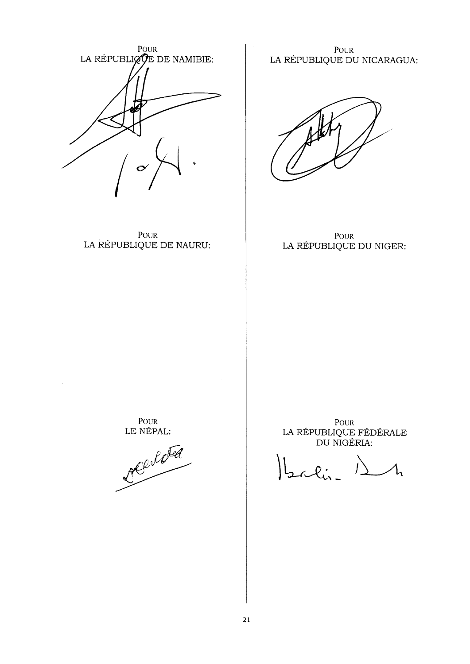

POUR LA RÉPUBLIQUE DE NAURU:

POUR LA RÉPUBLIQUE DU NICARAGUA:

**POUR** LA RÉPUBLIQUE DU NIGER:

POUR LE NÉPAL:

 $\bar{\beta}$ 

olded

POUR<br>LA RÉPUBLIQUE FÉDÉRALE DU NIGÉRIA:

 $2\pi$ lin-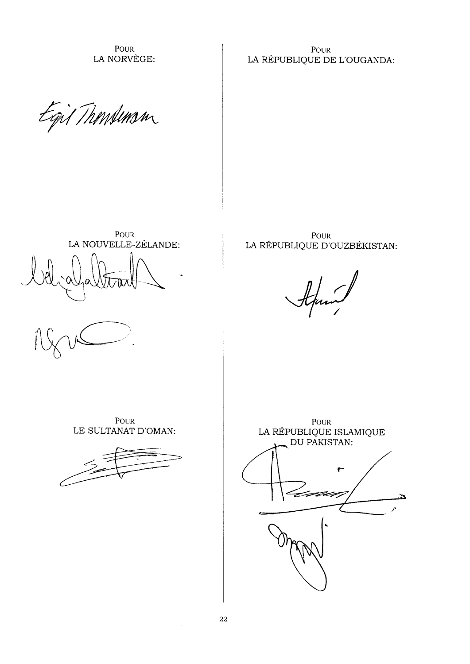POUR LA NORVÈGE:

**POUR** LA RÉPUBLIQUE DE L'OUGANDA:

Egil Thomsum



POUR LA RÉPUBLIQUE D'OUZBÉKISTAN:

POUR

LE SULTANAT D'OMAN:



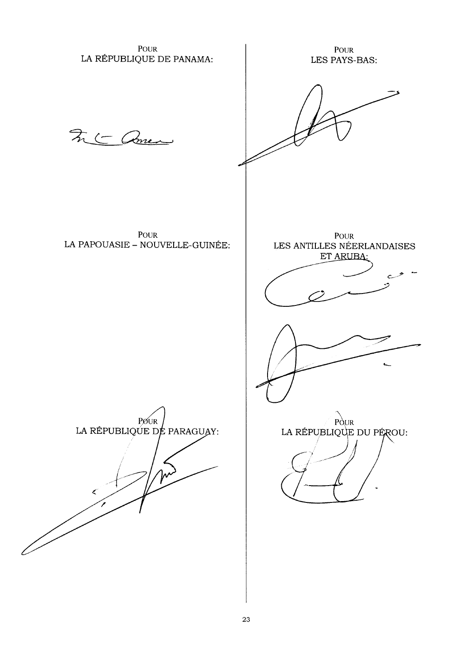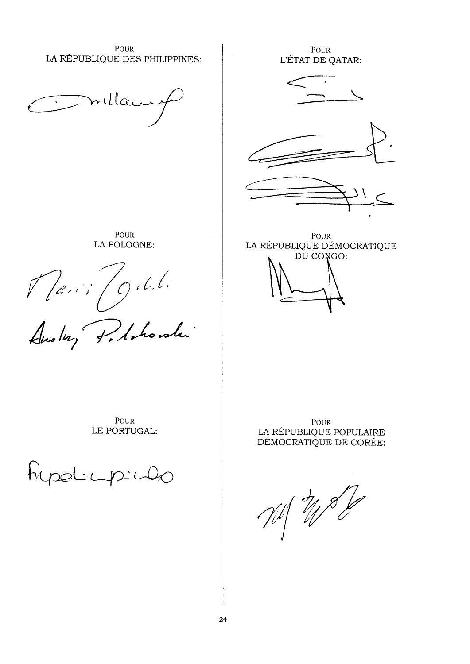**POUR** LA RÉPUBLIQUE DES PHILIPPINES:

Inilla

POUR LA POLOGNE:

Maris O. L.L.<br>Anoluy P. Ashonshi

**POUR** L'ÉTAT DE QATAR:





**POUR** LA RÉPUBLIQUE DÉMOCRATIQUE DU CONGO:

POUR LE PORTUGAL:

hypoticip

**POUR** LA RÉPUBLIQUE POPULAIRE DÉMOCRATIQUE DE CORÉE:

 $-11/22$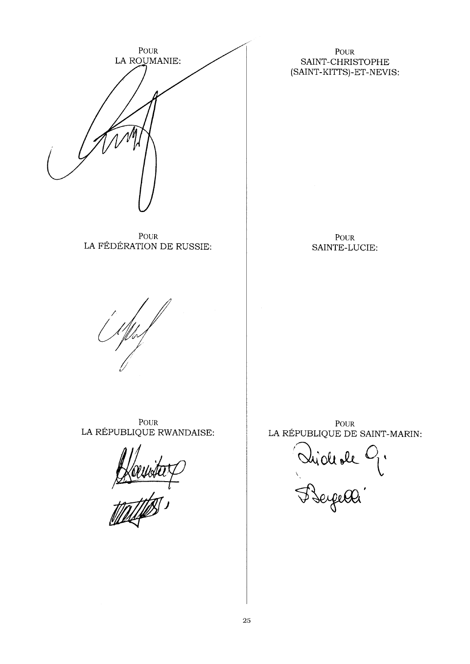

POUR LA FÉDÉRATION DE RUSSIE:

## **POUR** SAINT-CHRISTOPHE (SAINT-KITTS)-ET-NEVIS:

**POUR** SAINTE-LUCIE:

POUR LA RÉPUBLIQUE RWANDAISE:

Kawa

POUR LA RÉPUBLIQUE DE SAINT-MARIN:

Dide de 9.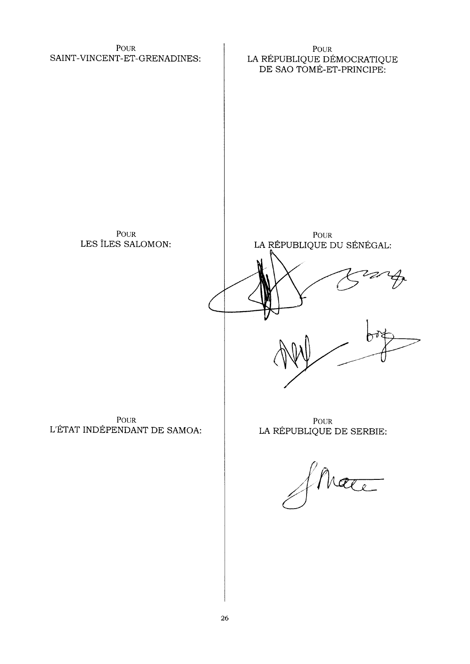POUR SAINT-VINCENT-ET-GRENADINES:

POUR LA RÉPUBLIQUE DÉMOCRATIQUE<br>DE SAO TOMÉ-ET-PRINCIPE:

**POUR** LES ÎLES SALOMON:

**POUR** LA RÉPUBLIQUE DU SÉNÉGAL:

POUR L'ÉTAT INDÉPENDANT DE SAMOA:

**POUR** LA RÉPUBLIQUE DE SERBIE: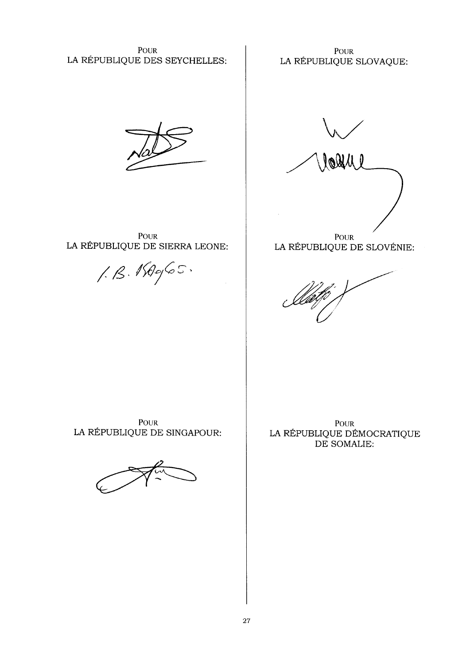**POUR** LA RÉPUBLIQUE DES SEYCHELLES:

**POUR** LA RÉPUBLIQUE SLOVAQUE:

**POUR** LA RÉPUBLIQUE DE SIERRA LEONE:

 $1.8.16965$ 

looli l **POUR** 

LA RÉPUBLIQUE DE SLOVÉNIE:

POUR LA RÉPUBLIQUE DE SINGAPOUR:

POUR LA RÉPUBLIQUE DÉMOCRATIQUE DE SOMALIE: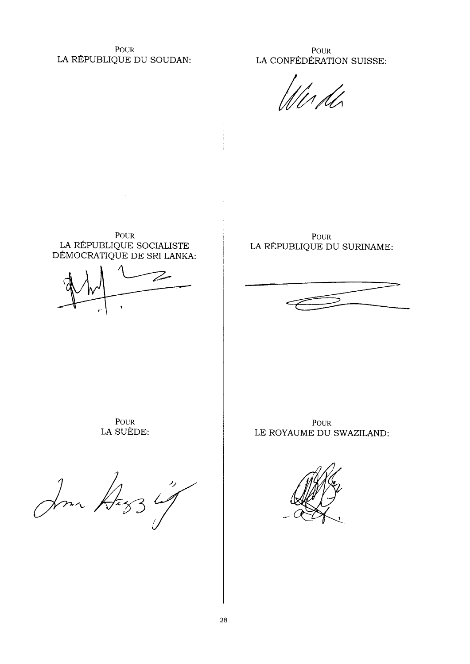POUR LA RÉPUBLIQUE DU SOUDAN:

POUR LA CONFÉDÉRATION SUISSE:

POUR LA RÉPUBLIQUE SOCIALISTE<br>DÉMOCRATIQUE DE SRI LANKA:

**POUR** LA RÉPUBLIQUE DU SURINAME:



POUR LA SUÈDE:

Jour Deg3

**POUR** LE ROYAUME DU SWAZILAND:

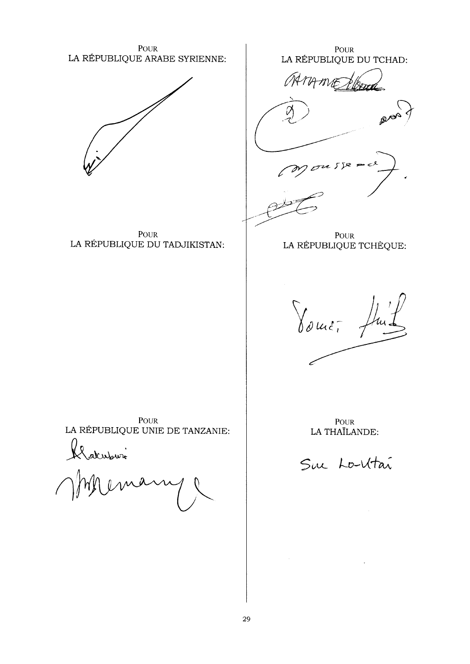**POUR** LA RÉPUBLIQUE ARABE SYRIENNE:



POUR LA RÉPUBLIQUE DU TADJIKISTAN:

POUR LA RÉPUBLIQUE DU TCHAD:

AAMAME

Ϊ2.

POUR LA RÉPUBLIQUE TCHÈQUE:

Jourt.

POUR LA RÉPUBLIQUE UNIE DE TANZANIE:

alistown

POUR LA THAÏLANDE:

Sur Lo-Vitai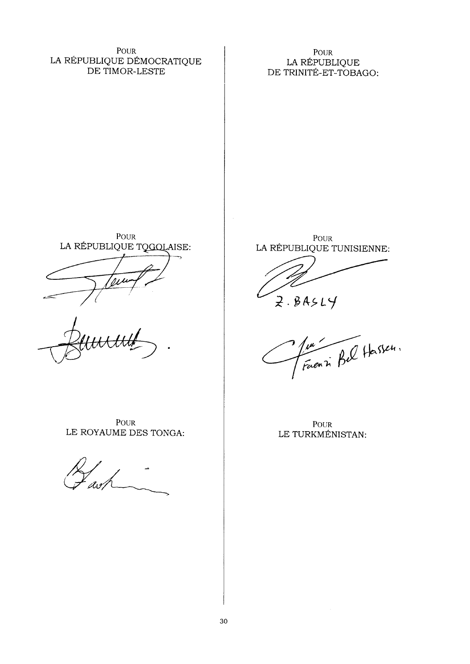POUR LA RÉPUBLIQUE DÉMOCRATIQUE DE TIMOR-LESTE

**POUR** LA RÉPUBLIQUE DE TRINITÉ-ET-TOBAGO:

**POUR** LA RÉPUBLIQUE TQGQLAISE:

POUR LE ROYAUME DES TONGA:

POUR LA RÉPUBLIQUE TUNISIENNE:

 $2.84514$ 

June Bel Hassen.

**POUR** LE TURKMÉNISTAN: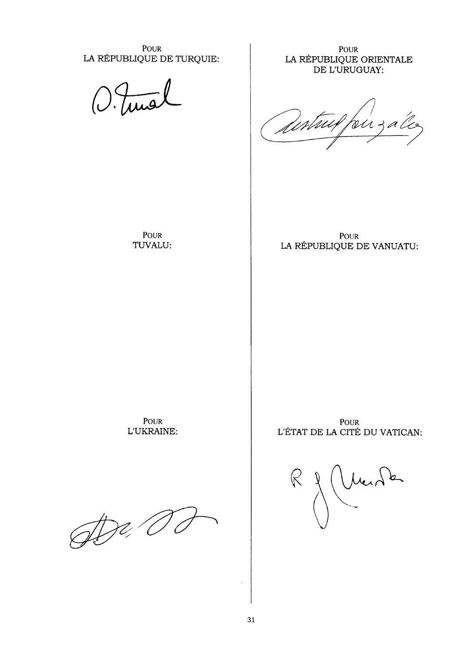POUR LA RÉPUBLIQUE DE TURQUIE:

**POUR** LA RÉPUBLIQUE ORIENTALE DE L'URUGUAY:

Sestaux, birzal

POUR TUVALU:

POUR LA RÉPUBLIQUE DE VANUATU:

**POUR** L'UKRAINE:

 $\mathbb{Z}$ 

**POUR** L'ÉTAT DE LA CITÉ DU VATICAN:

Mend k  $\ll$